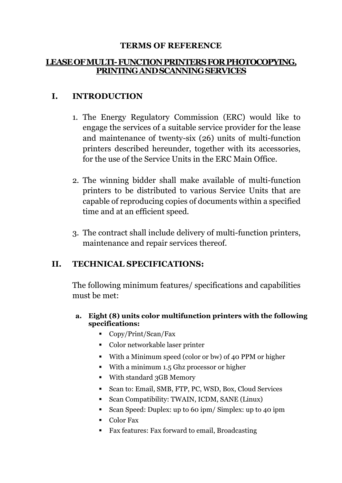#### **TERMS OF REFERENCE**

#### **LEASE OF MULTI-FUNCTION PRINTERS FOR PHOTOCOPYING, PRINTING AND SCANNING SERVICES**

## **I. INTRODUCTION**

- 1. The Energy Regulatory Commission (ERC) would like to engage the services of a suitable service provider for the lease and maintenance of twenty-six (26) units of multi-function printers described hereunder, together with its accessories, for the use of the Service Units in the ERC Main Office.
- 2. The winning bidder shall make available of multi-function printers to be distributed to various Service Units that are capable of reproducing copies of documents within a specified time and at an efficient speed.
- 3. The contract shall include delivery of multi-function printers, maintenance and repair services thereof.

### **II. TECHNICAL SPECIFICATIONS:**

The following minimum features/ specifications and capabilities must be met:

#### **a. Eight (8) units color multifunction printers with the following specifications:**

- Copy/Print/Scan/Fax
- Color networkable laser printer
- With a Minimum speed (color or bw) of 40 PPM or higher
- With a minimum 1.5 Ghz processor or higher
- With standard 3GB Memory
- Scan to: Email, SMB, FTP, PC, WSD, Box, Cloud Services
- Scan Compatibility: TWAIN, ICDM, SANE (Linux)
- Scan Speed: Duplex: up to 60 ipm/ Simplex: up to 40 ipm
- Color Fax
- Fax features: Fax forward to email, Broadcasting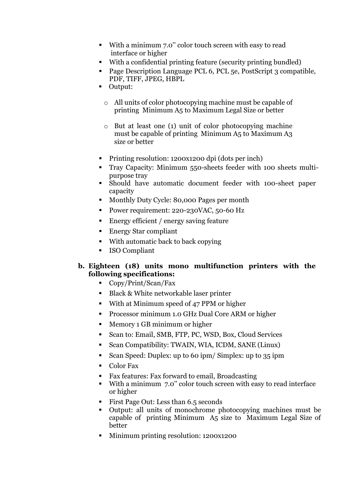- With a minimum 7.0'' color touch screen with easy to read interface or higher
- With a confidential printing feature (security printing bundled)
- Page Description Language PCL 6, PCL 5e, PostScript 3 compatible, PDF, TIFF, JPEG, HBPL
- Output:
	- o All units of color photocopying machine must be capable of printing Minimum A5 to Maximum Legal Size or better
	- o But at least one (1) unit of color photocopying machine must be capable of printing Minimum A5 to Maximum A3 size or better
- **Printing resolution: 1200x1200 dpi (dots per inch)**
- Tray Capacity: Minimum 550-sheets feeder with 100 sheets multipurpose tray and the set of the set of the set of the set of the set of the set of the set of the set of the set of the set of the set of the set of the set of the set of the set of the set of the set of the set of the set
- Should have automatic document feeder with 100-sheet paper capacity that is a contract of the contract of the contract of the contract of the contract of the contract of the contract of the contract of the contract of the contract of the contract of the contract of the contract of
- Monthly Duty Cycle: 80,000 Pages per month
- Power requirement: 220-230VAC, 50-60 Hz
- Energy efficient / energy saving feature
- Energy Star compliant
- With automatic back to back copying
- ISO Compliant

#### **b. Eighteen (18) units mono multifunction printers with the following specifications:**

- Copy/Print/Scan/Fax
- Black & White networkable laser printer
- With at Minimum speed of 47 PPM or higher
- **Processor minimum 1.0 GHz Dual Core ARM or higher**
- **Memory 1 GB minimum or higher**
- Scan to: Email, SMB, FTP, PC, WSD, Box, Cloud Services
- Scan Compatibility: TWAIN, WIA, ICDM, SANE (Linux)
- Scan Speed: Duplex: up to 60 ipm/ Simplex: up to 35 ipm
- Color Fax
- Fax features: Fax forward to email, Broadcasting
- With a minimum 7.0'' color touch screen with easy to read interface or higher
- First Page Out: Less than 6.5 seconds
- Output: all units of monochrome photocopying machines must be capable of printing Minimum A5 size to Maximum Legal Size of better and the contract of the contract of the contract of the contract of the contract of the contract of the contract of the contract of the contract of the contract of the contract of the contract of the contract of the
- Minimum printing resolution: 1200x1200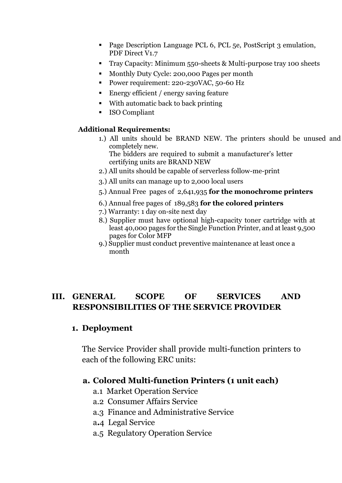- Page Description Language PCL 6, PCL 5e, PostScript 3 emulation, PDF Direct V1.7
- Tray Capacity: Minimum 550-sheets & Multi-purpose tray 100 sheets
- **Monthly Duty Cycle: 200,000 Pages per month**
- Power requirement: 220-230VAC, 50-60 Hz
- Energy efficient / energy saving feature
- With automatic back to back printing
- **ISO Compliant**

#### **Additional Requirements:**

1.) All units should be BRAND NEW. The printers should be unused and completely new.

The bidders are required to submit a manufacturer's letter certifying units are BRAND NEW

- 2.) All units should be capable of serverless follow-me-print
- 3.) All units can manage up to 2,000 local users
- 5.) Annual Free pages of 2,641,935 **for the monochrome printers**
- 6.) Annual free pages of 189,583 **for the colored printers**
- 7.) Warranty: 1 day on-site next day
- 8.) Supplier must have optional high-capacity toner cartridge with at least 40,000 pages for the Single Function Printer, and at least 9,500 pages for Color MFP
- 9.) Supplier must conduct preventive maintenance at least once a month

## **III. GENERAL SCOPE OF SERVICES AND RESPONSIBILITIES OF THE SERVICE PROVIDER**

### **1. Deployment**

The Service Provider shall provide multi-function printers to each of the following ERC units:

### **a. Colored Multi-function Printers (1 unit each)**

- a.1 Market Operation Service
- a.2 Consumer Affairs Service
- a.3 Finance and Administrative Service
- a**.**4 Legal Service
- a.5 Regulatory Operation Service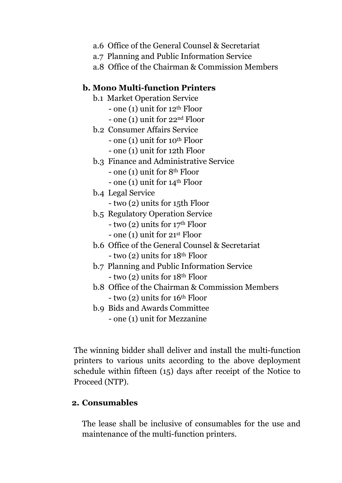- a.6 Office of the General Counsel & Secretariat
- a.7 Planning and Public Information Service
- a.8 Office of the Chairman & Commission Members

#### **b. Mono Multi-function Printers**

- b.1 Market Operation Service
	- one (1) unit for 12th Floor
	- one (1) unit for 22nd Floor
- b.2 Consumer Affairs Service
	- one (1) unit for 10th Floor
	- one (1) unit for 12th Floor
- b.3 Finance and Administrative Service
	- one (1) unit for 8th Floor
	- one  $(1)$  unit for  $14<sup>th</sup>$  Floor
- b.4 Legal Service
	- two (2) units for 15th Floor
- b.5 Regulatory Operation Service
	- two (2) units for 17th Floor
	- one (1) unit for 21st Floor
- b.6 Office of the General Counsel & Secretariat - two (2) units for 18th Floor
- b.7 Planning and Public Information Service - two (2) units for 18th Floor
- b.8 Office of the Chairman & Commission Members  $-$  two (2) units for 16<sup>th</sup> Floor
- b.9 Bids and Awards Committee - one (1) unit for Mezzanine

The winning bidder shall deliver and install the multi-function printers to various units according to the above deployment schedule within fifteen (15) days after receipt of the Notice to Proceed (NTP).

#### **2. Consumables**

The lease shall be inclusive of consumables for the use and maintenance of the multi-function printers.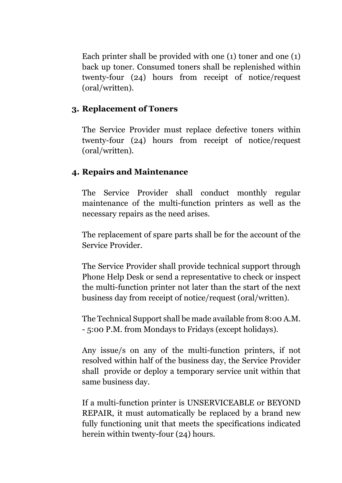Each printer shall be provided with one (1) toner and one (1) back up toner. Consumed toners shall be replenished within twenty-four (24) hours from receipt of notice/request (oral/written).

### **3. Replacement of Toners**

The Service Provider must replace defective toners within twenty-four (24) hours from receipt of notice/request (oral/written).

## **4. Repairs and Maintenance**

The Service Provider shall conduct monthly regular maintenance of the multi-function printers as well as the necessary repairs as the need arises.

The replacement of spare parts shall be for the account of the Service Provider.

The Service Provider shall provide technical support through Phone Help Desk or send a representative to check or inspect the multi-function printer not later than the start of the next business day from receipt of notice/request (oral/written).

The Technical Support shall be made available from 8:00 A.M. - 5:00 P.M. from Mondays to Fridays (except holidays).

Any issue/s on any of the multi-function printers, if not resolved within half of the business day, the Service Provider shall provide or deploy a temporary service unit within that same business day.

If a multi-function printer is UNSERVICEABLE or BEYOND REPAIR, it must automatically be replaced by a brand new fully functioning unit that meets the specifications indicated herein within twenty-four (24) hours.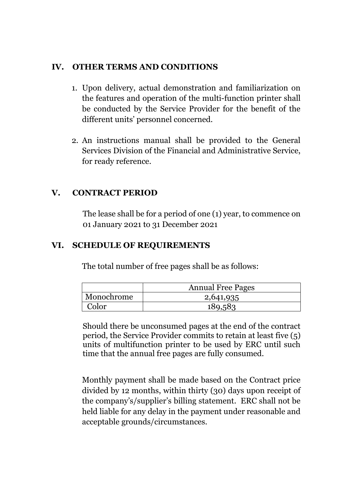## **IV. OTHER TERMS AND CONDITIONS**

- 1. Upon delivery, actual demonstration and familiarization on the features and operation of the multi-function printer shall be conducted by the Service Provider for the benefit of the different units' personnel concerned.
- 2. An instructions manual shall be provided to the General Services Division of the Financial and Administrative Service, for ready reference.

## **V. CONTRACT PERIOD**

The lease shall be for a period of one (1) year, to commence on 01 January 2021 to 31 December 2021

### **VI. SCHEDULE OF REQUIREMENTS**

The total number of free pages shall be as follows:

|            | <b>Annual Free Pages</b> |
|------------|--------------------------|
| Monochrome | 2,641,935                |
| Color      | 189,583                  |

Should there be unconsumed pages at the end of the contract period, the Service Provider commits to retain at least five (5) units of multifunction printer to be used by ERC until such time that the annual free pages are fully consumed.

Monthly payment shall be made based on the Contract price divided by 12 months, within thirty (30) days upon receipt of the company's/supplier's billing statement. ERC shall not be held liable for any delay in the payment under reasonable and acceptable grounds/circumstances.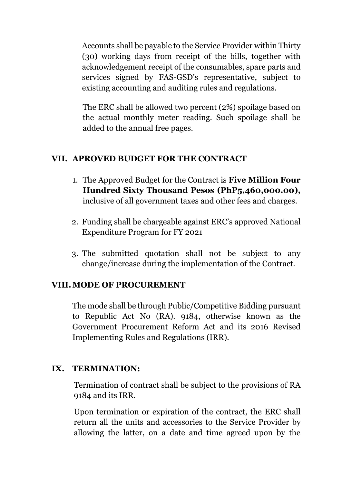Accounts shall be payable to the Service Provider within Thirty (30) working days from receipt of the bills, together with acknowledgement receipt of the consumables, spare parts and services signed by FAS-GSD's representative, subject to existing accounting and auditing rules and regulations.

The ERC shall be allowed two percent (2%) spoilage based on the actual monthly meter reading. Such spoilage shall be added to the annual free pages.

# **VII. APROVED BUDGET FOR THE CONTRACT**

- 1. The Approved Budget for the Contract is **Five Million Four Hundred Sixty Thousand Pesos (PhP5,460,000.00),**  inclusive of all government taxes and other fees and charges.
- 2. Funding shall be chargeable against ERC's approved National Expenditure Program for FY 2021
- 3. The submitted quotation shall not be subject to any change/increase during the implementation of the Contract.

## **VIII.MODE OF PROCUREMENT**

The mode shall be through Public/Competitive Bidding pursuant to Republic Act No (RA). 9184, otherwise known as the Government Procurement Reform Act and its 2016 Revised Implementing Rules and Regulations (IRR).

# **IX. TERMINATION:**

Termination of contract shall be subject to the provisions of RA 9184 and its IRR.

Upon termination or expiration of the contract, the ERC shall return all the units and accessories to the Service Provider by allowing the latter, on a date and time agreed upon by the